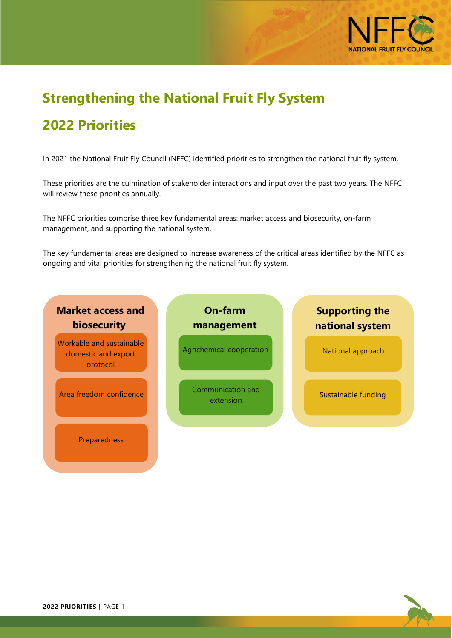

## **Strengthening the National Fruit Fly System**

## **2022 Priorities**

In 2021 the National Fruit Fly Council (NFFC) identified priorities to strengthen the national fruit fly system.

These priorities are the culmination of stakeholder interactions and input over the past two years. The NFFC will review these priorities annually.

The NFFC priorities comprise three key fundamental areas: market access and biosecurity, on-farm management, and supporting the national system.

The key fundamental areas are designed to increase awareness of the critical areas identified by the NFFC as ongoing and vital priorities for strengthening the national fruit fly system.



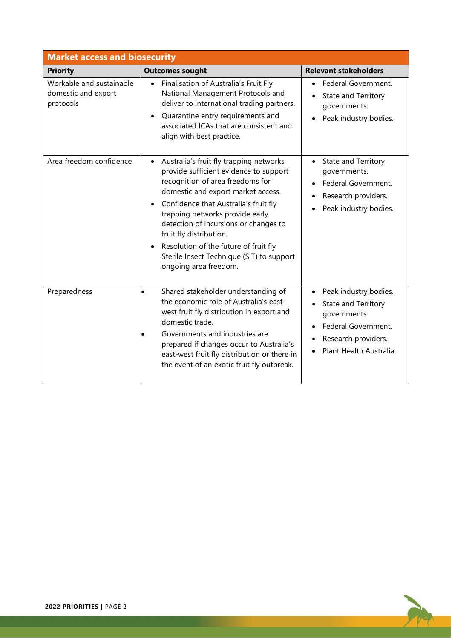| <b>Market access and biosecurity</b>                         |                                                                                                                                                                                                                                                                                                                                                                                                                                                      |                                                                                                                                                    |  |  |
|--------------------------------------------------------------|------------------------------------------------------------------------------------------------------------------------------------------------------------------------------------------------------------------------------------------------------------------------------------------------------------------------------------------------------------------------------------------------------------------------------------------------------|----------------------------------------------------------------------------------------------------------------------------------------------------|--|--|
| <b>Priority</b>                                              | <b>Outcomes sought</b>                                                                                                                                                                                                                                                                                                                                                                                                                               | <b>Relevant stakeholders</b>                                                                                                                       |  |  |
| Workable and sustainable<br>domestic and export<br>protocols | Finalisation of Australia's Fruit Fly<br>$\bullet$<br>National Management Protocols and<br>deliver to international trading partners.<br>Quarantine entry requirements and<br>$\bullet$<br>associated ICAs that are consistent and<br>align with best practice.                                                                                                                                                                                      | Federal Government.<br>State and Territory<br>governments.<br>Peak industry bodies.                                                                |  |  |
| Area freedom confidence                                      | Australia's fruit fly trapping networks<br>$\bullet$<br>provide sufficient evidence to support<br>recognition of area freedoms for<br>domestic and export market access.<br>Confidence that Australia's fruit fly<br>$\bullet$<br>trapping networks provide early<br>detection of incursions or changes to<br>fruit fly distribution.<br>Resolution of the future of fruit fly<br>Sterile Insect Technique (SIT) to support<br>ongoing area freedom. | • State and Territory<br>governments.<br>Federal Government.<br>Research providers.<br>$\bullet$<br>Peak industry bodies.                          |  |  |
| Preparedness                                                 | Shared stakeholder understanding of<br>$\bullet$<br>the economic role of Australia's east-<br>west fruit fly distribution in export and<br>domestic trade.<br>Governments and industries are<br>$\bullet$<br>prepared if changes occur to Australia's<br>east-west fruit fly distribution or there in<br>the event of an exotic fruit fly outbreak.                                                                                                  | Peak industry bodies.<br>$\bullet$<br>State and Territory<br>governments.<br>Federal Government.<br>Research providers.<br>Plant Health Australia. |  |  |